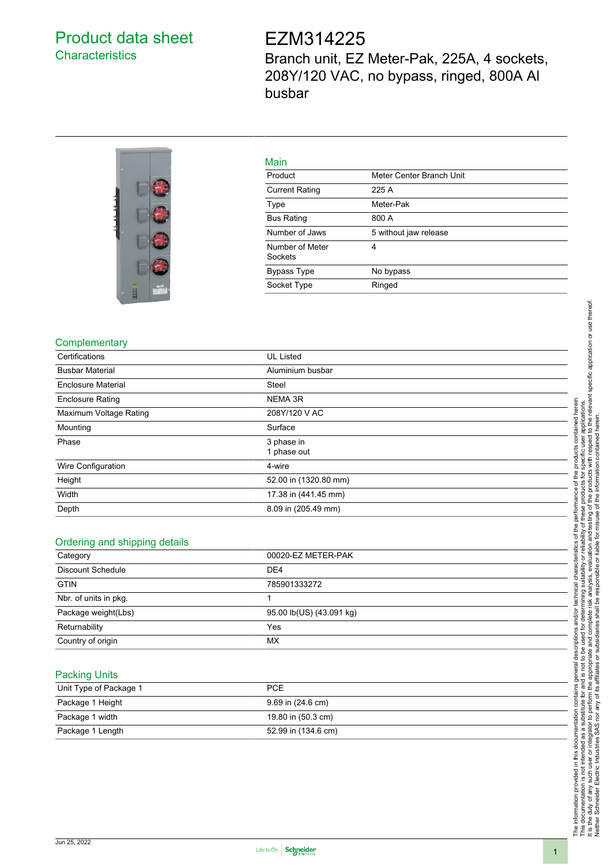## <span id="page-0-0"></span>Product data sheet **Characteristics**

# EZM314225

Branch unit, EZ Meter-Pak, 225A, 4 sockets, 208Y/120 VAC, no bypass, ringed, 800A Al busbar



|  |  | __ |  |  |
|--|--|----|--|--|
|  |  |    |  |  |

| Main                       |                          |
|----------------------------|--------------------------|
| Product                    | Meter Center Branch Unit |
| <b>Current Rating</b>      | 225 A                    |
| Type                       | Meter-Pak                |
| <b>Bus Rating</b>          | 800 A                    |
| Number of Jaws             | 5 without jaw release    |
| Number of Meter<br>Sockets | 4                        |
| <b>Bypass Type</b>         | No bypass                |
| Socket Type                | Ringed                   |
|                            |                          |

### **Complementary**

| Certifications            | <b>UL Listed</b>          |
|---------------------------|---------------------------|
| <b>Busbar Material</b>    | Aluminium busbar          |
| <b>Enclosure Material</b> | <b>Steel</b>              |
| <b>Enclosure Rating</b>   | NEMA 3R                   |
| Maximum Voltage Rating    | 208Y/120 V AC             |
| Mounting                  | Surface                   |
| Phase                     | 3 phase in<br>1 phase out |
| Wire Configuration        | 4-wire                    |
| Height                    | 52.00 in (1320.80 mm)     |
| Width                     | 17.38 in (441.45 mm)      |
| Depth                     | 8.09 in (205.49 mm)       |
|                           |                           |

#### Ordering and shipping details

| Category                 | 00020-EZ METER-PAK       |  |
|--------------------------|--------------------------|--|
| <b>Discount Schedule</b> | DE <sub>4</sub>          |  |
| <b>GTIN</b>              | 785901333272             |  |
| Nbr. of units in pkg.    |                          |  |
| Package weight(Lbs)      | 95.00 lb(US) (43.091 kg) |  |
| Returnability            | Yes                      |  |
| Country of origin        | MX                       |  |

#### Packing Units

| Unit Type of Package 1 | <b>PCE</b>          |
|------------------------|---------------------|
| Package 1 Height       | 9.69 in (24.6 cm)   |
| Package 1 width        | 19.80 in (50.3 cm)  |
| Package 1 Length       | 52.99 in (134.6 cm) |